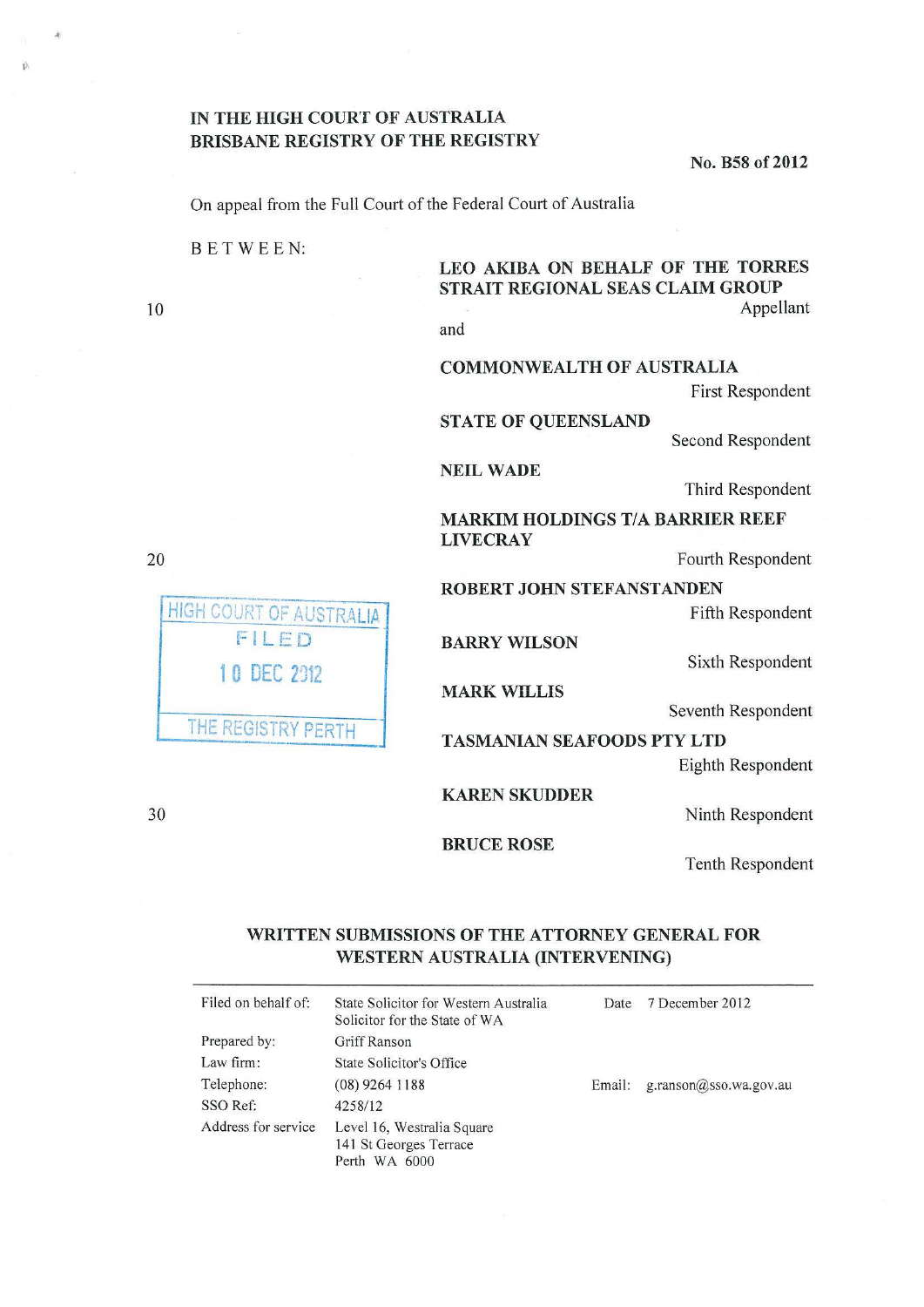## IN THE HIGH COURT OF AUSTRALIA BRISBANE REGISTRY OF THE REGISTRY

No. B58 of 2012

On appeal from the Full Court of the Federal Court of Australia

BE TWEEN:

**HIGH COURT OF AUSTRALIA** FILED

10 DEC 2012

THE REGISTRY PERTH

LEO AKIBA ON BEHALF OF THE TORRES STRAIT REGIONAL SEAS CLAIM GROUP Appellant

and

COMMONWEALTH OF AUSTRALIA

First Respondent

STATE OF QUEENSLAND

Second Respondent

NEIL WADE

Third Respondent

MARKIM HOLDINGS T/A BARRIER REEF LIVECRAY

Fourth Respondent

ROBERT JOHN STEFANSTANDEN

Fifth Respondent

BARRY WILSON

Sixth Respondent

MARK WILLIS

Seventh Respondent

TASMANIAN SEAFOODS PTY LTD

Eighth Respondent

KARENSKUDDER

Ninth Respondent

Tenth Respondent

## WRITTEN SUBMISSIONS OF THE ATTORNEY GENERAL FOR WESTERN AUSTRALIA (INTERVENING)

BRUCE ROSE

| Filed on behalf of: | State Solicitor for Western Australia<br>Solicitor for the State of WA | Date   | 7 December 2012            |
|---------------------|------------------------------------------------------------------------|--------|----------------------------|
| Prepared by:        | Griff Ranson                                                           |        |                            |
| Law firm:           | State Solicitor's Office                                               |        |                            |
| Telephone:          | $(08)$ 9264 1188                                                       | Email: | g.ranson $@$ sso.wa.gov.au |
| SSO Ref:            | 4258/12                                                                |        |                            |
| Address for service | Level 16, Westralia Square<br>141 St Georges Terrace<br>Perth WA 6000  |        |                            |

10

20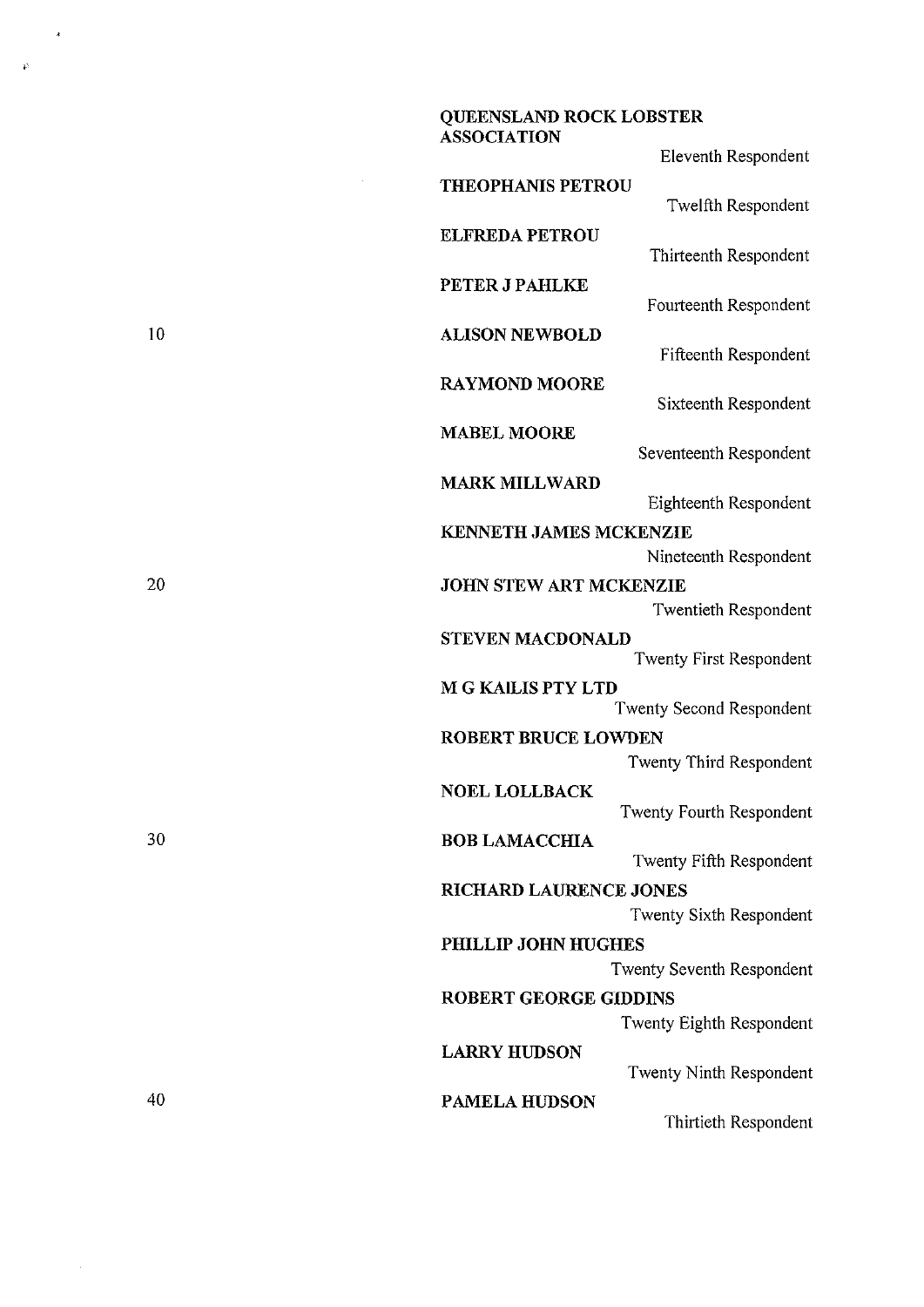|    | <b>QUEENSLAND ROCK LOBSTER</b><br><b>ASSOCIATION</b> |                           |
|----|------------------------------------------------------|---------------------------|
|    |                                                      | Eleventh Respondent       |
|    | <b>THEOPHANIS PETROU</b>                             | Twelfth Respondent        |
|    | <b>ELFREDA PETROU</b>                                | Thirteenth Respondent     |
|    | PETER J PAHLKE                                       | Fourteenth Respondent     |
| 10 | <b>ALISON NEWBOLD</b>                                | Fifteenth Respondent      |
|    | <b>RAYMOND MOORE</b>                                 | Sixteenth Respondent      |
|    | <b>MABEL MOORE</b>                                   | Seventeenth Respondent    |
|    | <b>MARK MILLWARD</b>                                 | Eighteenth Respondent     |
|    | KENNETH JAMES MCKENZIE                               |                           |
|    |                                                      | Nineteenth Respondent     |
| 20 | <b>JOHN STEW ART MCKENZIE</b>                        |                           |
|    |                                                      | Twentieth Respondent      |
|    | <b>STEVEN MACDONALD</b>                              | Twenty First Respondent   |
|    | <b>M G KAILIS PTY LTD</b>                            | Twenty Second Respondent  |
|    | <b>ROBERT BRUCE LOWDEN</b>                           |                           |
|    |                                                      | Twenty Third Respondent   |
|    | <b>NOEL LOLLBACK</b>                                 | Twenty Fourth Respondent  |
| 30 | <b>BOB LAMACCHIA</b>                                 | Twenty Fifth Respondent   |
|    | <b>RICHARD LAURENCE JONES</b>                        |                           |
|    |                                                      | Twenty Sixth Respondent   |
|    | PHILLIP JOHN HUGHES                                  |                           |
|    |                                                      | Twenty Seventh Respondent |
|    | <b>ROBERT GEORGE GIDDINS</b>                         |                           |
|    |                                                      | Twenty Eighth Respondent  |
|    | <b>LARRY HUDSON</b>                                  | Twenty Ninth Respondent   |
| 40 | PAMELA HUDSON                                        |                           |
|    |                                                      | Thirtieth Respondent      |

 $\overline{a}$ 

 $\vec{p}$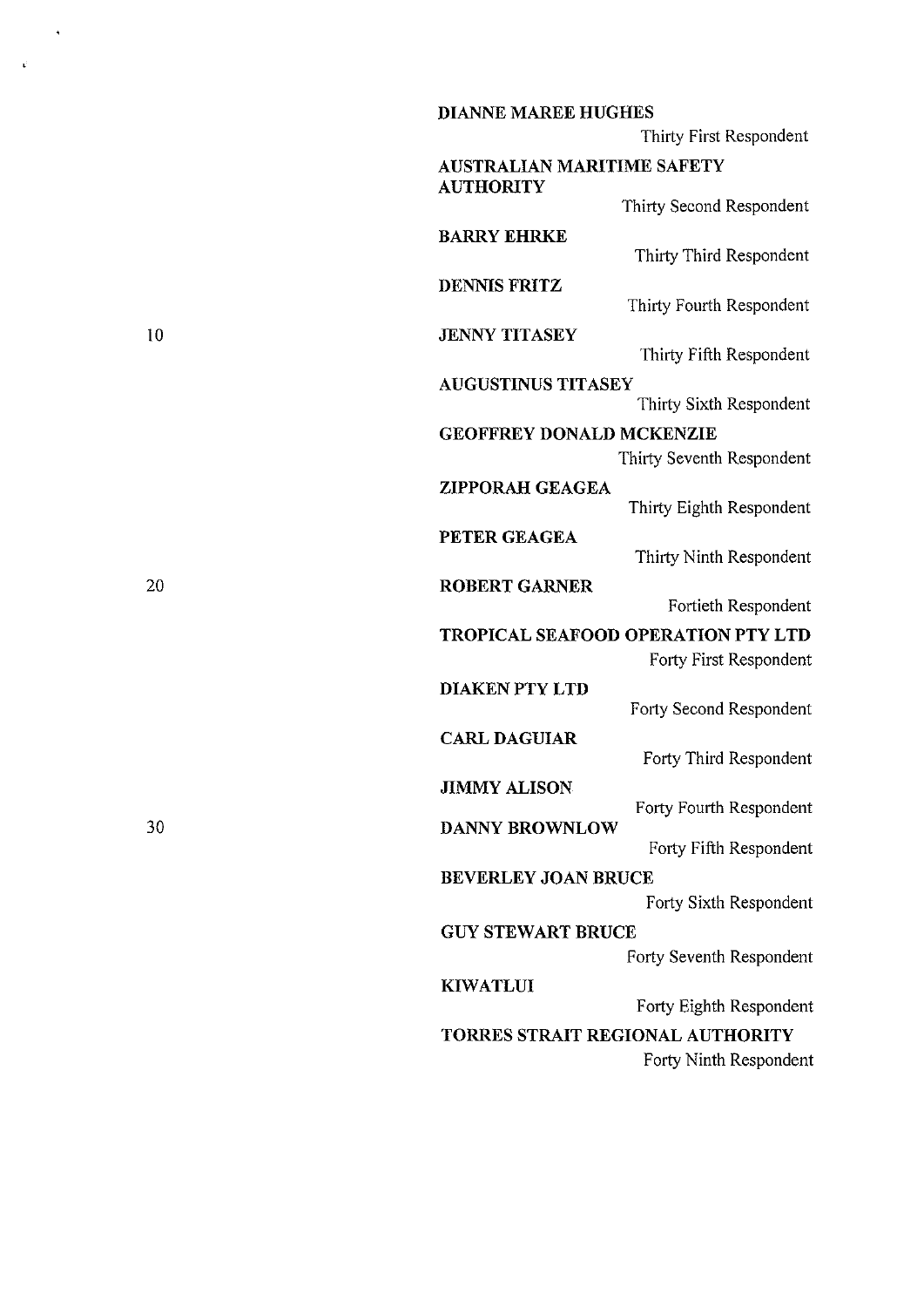| <b>DIANNE MAREE HUGHES</b>                         |
|----------------------------------------------------|
| Thirty First Respondent                            |
| <b>AUSTRALIAN MARITIME SAFETY</b>                  |
| <b>AUTHORITY</b><br>Thirty Second Respondent       |
| <b>BARRY EHRKE</b>                                 |
| Thirty Third Respondent                            |
| <b>DENNIS FRITZ</b><br>Thirty Fourth Respondent    |
| <b>JENNY TITASEY</b>                               |
| Thirty Fifth Respondent                            |
| <b>AUGUSTINUS TITASEY</b>                          |
| Thirty Sixth Respondent                            |
| <b>GEOFFREY DONALD MCKENZIE</b>                    |
| Thirty Seventh Respondent                          |
| <b>ZIPPORAH GEAGEA</b><br>Thirty Eighth Respondent |
| PETER GEAGEA                                       |
| Thirty Ninth Respondent                            |
| <b>ROBERT GARNER</b>                               |
| Fortieth Respondent                                |
| TROPICAL SEAFOOD OPERATION PTY LTD                 |
| Forty First Respondent                             |
| <b>DIAKEN PTY LTD</b><br>Forty Second Respondent   |
| <b>CARL DAGUIAR</b>                                |
| Forty Third Respondent                             |
| <b>JIMMY ALISON</b>                                |
| Forty Fourth Respondent<br><b>DANNY BROWNLOW</b>   |
| Forty Fifth Respondent                             |
| <b>BEVERLEY JOAN BRUCE</b>                         |
| Forty Sixth Respondent                             |
| <b>GUY STEWART BRUCE</b>                           |
| Forty Seventh Respondent                           |
| <b>KIWATLUI</b>                                    |
| Forty Eighth Respondent                            |
| TORRES STRAIT REGIONAL AUTHORITY                   |
| Forty Ninth Respondent                             |

 $\langle \rangle$ 

 $\hat{\mathcal{L}}$ 

20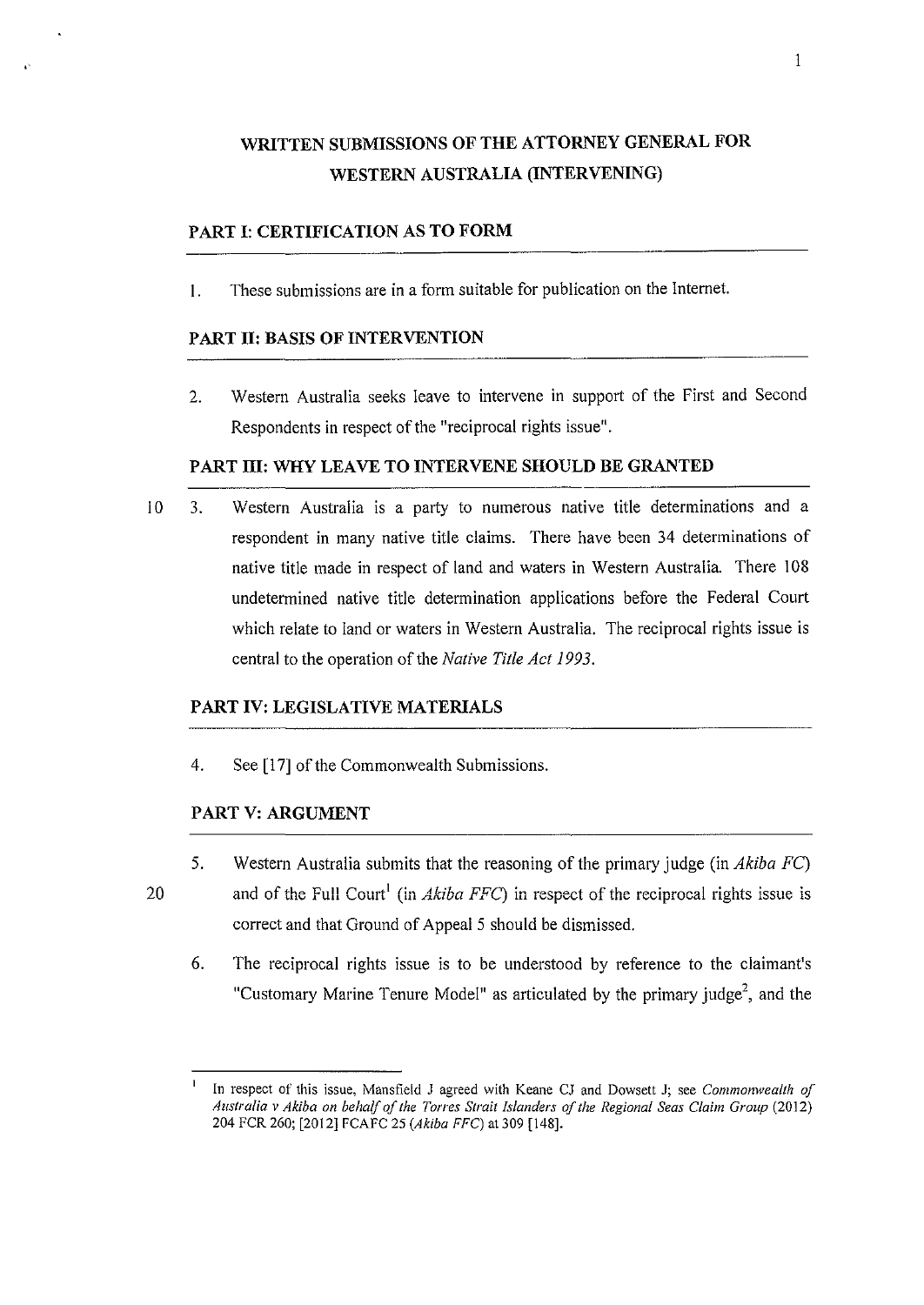# WRITTEN SUBMISSIONS OF THE ATTORNEY GENERAL FOR WESTERN AUSTRALIA (INTERVENING)

## PART 1: CERTIFICATION AS TO FORM

I. These submissions are in a form suitable for publication on the Internet.

## PART II: BASIS OF INTERVENTION

2. Western Australia seeks leave to intervene in support of the First and Second Respondents in respect of the "reciprocal rights issue".

#### PART III: WHY LEAVE TO INTERVENE SHOULD BE GRANTED

10 3. Western Australia is a party to numerous native title determinations and a respondent in many native title claims. There have been 34 determinations of native title made in respect of land and waters in Western Australia. There 108 undetermined native title determination applications before the Federal Court which relate to land or waters in Western Australia. The reciprocal rights issue is central to the operation of the *Native Title Act 1993.* 

## PART IV: LEGISLATIVE MATERIALS

4. See [17] of the Commonwealth Submissions.

#### PART V: ARGUMENT

- 5. Western Australia submits that the reasoning of the primary judge (in *Akiba* FC)
- 20

and of the Full Court<sup>1</sup> (in *Akiba FFC*) in respect of the reciprocal rights issue is correct and that Ground of Appeal 5 should be dismissed.

6. The reciprocal rights issue is to be understood by reference to the claimant's "Customary Marine Tenure Model" as articulated by the primary judge<sup>2</sup>, and the

In respect of this issue, Mansfield J agreed with Keane CJ and Dowsett J; see *Commonwealth of Australia v Akiba on behalf of the Torres Strait Islanders of the Regional Seas Claim Group* (2012) 204 FCR 260; [2012] FCAFC 25 *(Akiba FFC)* at 309 [148].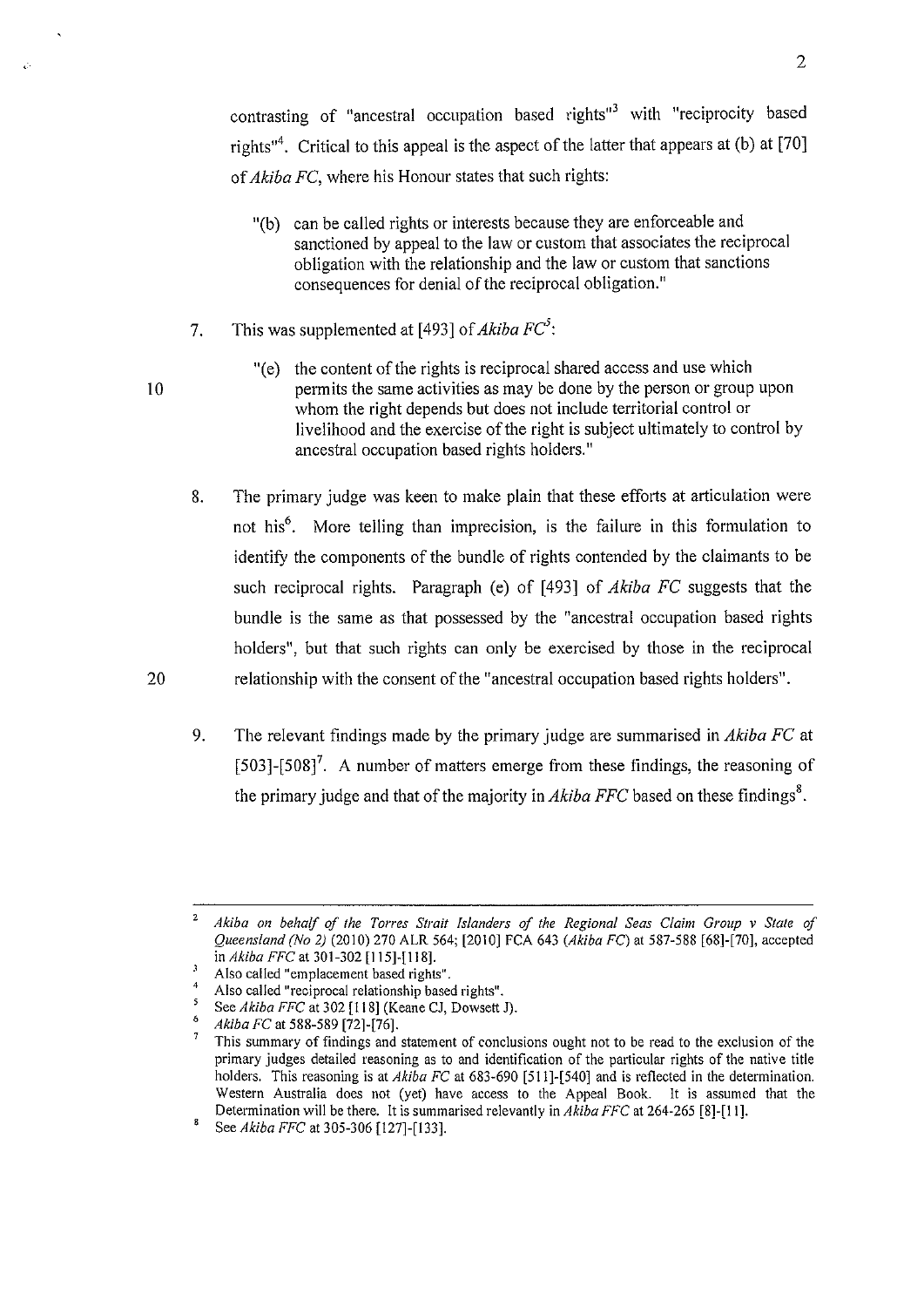contrasting of "ancestral occupation based rights"<sup>3</sup> with "reciprocity based rights"<sup>4</sup>. Critical to this appeal is the aspect of the latter that appears at (b) at [70] of *Akiba FC,* where his Honour states that such rights:

- "(b) can be called rights or interests because they are enforceable and sanctioned by appeal to the law or custom that associates the reciprocal obligation with the relationship and the law or custom that sanctions consequences for denial of the reciprocal obligation."
- 7. This was supplemented at [493] of *Akiba FC*<sup>5</sup>:

10

20

"(e) the content of the rights is reciprocal shared access and use which permits the same activities as may be done by the person or group upon whom the right depends but does not include territorial control or livelihood and the exercise of the right is subject ultimately to control by ancestral occupation based rights holders."

8. The primary judge was keen to make plain that these efforts at articulation were not his<sup>6</sup>. More telling than imprecision, is the failure in this formulation to identify the components of the bundle of rights contended by the claimants to be such reciprocal rights. Paragraph (e) of [493] of *Akiba FC* suggests that the bundle is the same as that possessed by the "ancestral occupation based rights holders", but that such rights can only be exercised by those in the reciprocal relationship with the consent of the "ancestral occupation based rights holders".

9. The relevant findings made by the primary judge are summarised in *Akiba FC* at  $[503]$ - $[508]$ <sup>7</sup>. A number of matters emerge from these findings, the reasoning of the primary judge and that of the majority in  $Akiba$  FFC based on these findings<sup>8</sup>.

<sup>2</sup>*Akiba an behalf of the Torres Strait !slanders of the Regional Seas Claim Group v State of Queensland (No 2}* (2010) 270 ALR 564; [2010] FCA 643 *(Akiba FC)* at 587-588 [68]-[70], accepted

Also called "emplacement based rights".<br>Also called "reciprocal relationship based rights".<br>See *Akiba FFC* at 302 [118] (Keane CJ, Dowsett J).<br>*Akiba FC* at 588-589 [72]-[76].

**This summary of findings and statement of conclusions ought not to be read to the exclusion of the**  primary judges detailed reasoning as to and identification of the particular rights of the native title holders. This reasoning is at *Akiba FC* at 683-690 [511]-[540] and is reflected in the determination. Western Australia does not (yet) have access to the Appeal Book. It is assumed that the Determination will be there. It is summarised relevantly in *Akiba FFC* at 264-265 [8]-[11].<br><sup>8</sup> See *Akiba FFC* at 305-306 [127]-[133].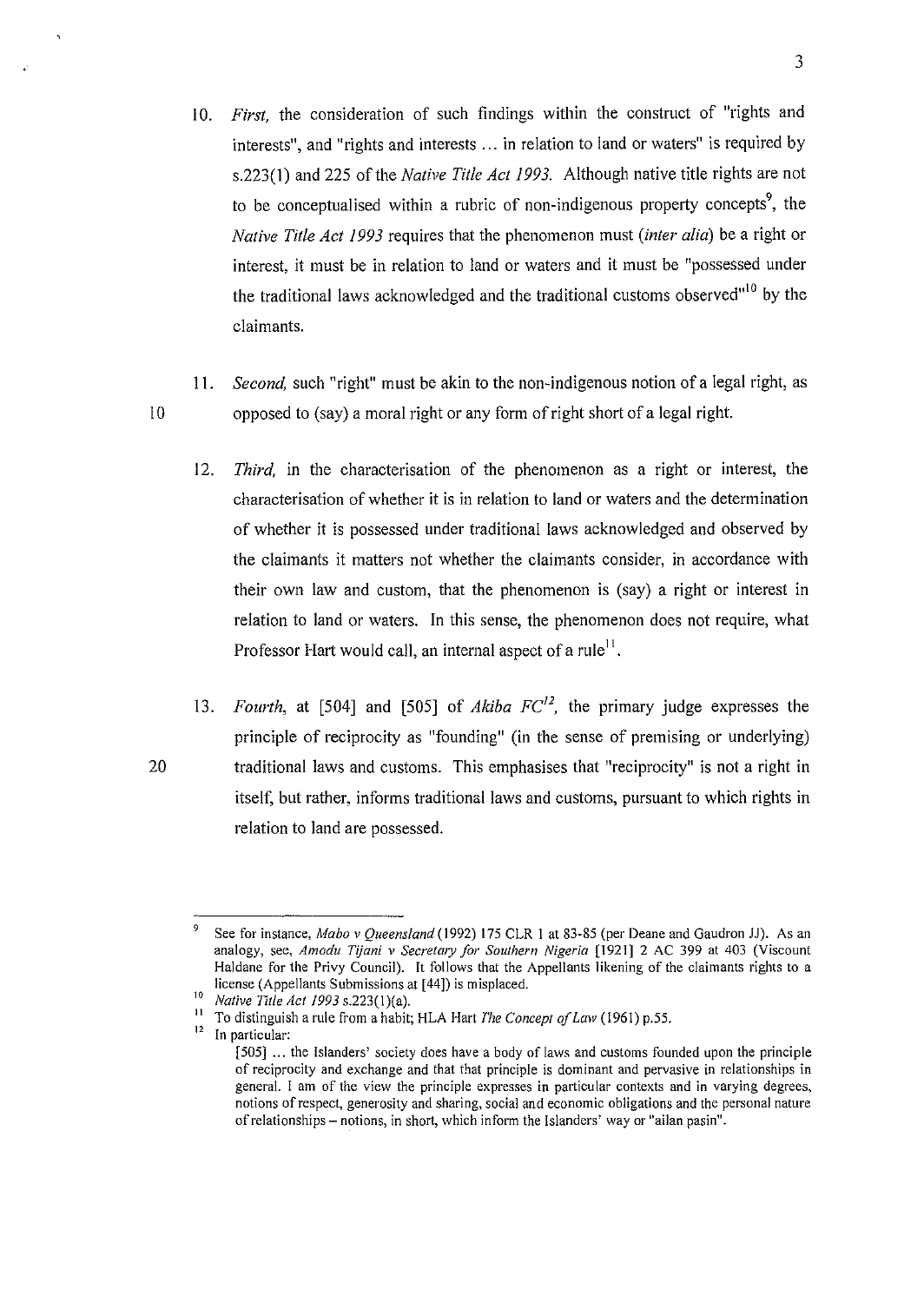- 10. *First*, the consideration of such findings within the construct of "rights and interests", and "rights and interests ... in relation to land or waters" is required by s.223(1) and 225 of the *Native Title Act 1993.* Although native title rights are not to be conceptualised within a rubric of non-indigenous property concepts<sup>9</sup>, the *Native Title Act 1993* requires that the phenomenon must *(inter alia)* be a right or interest, it must be in relation to land or waters and it must be "possessed under the traditional laws acknowledged and the traditional customs observed"<sup>10</sup> by the claimants.
- II. *Second,* such "right" must be akin to the non-indigenous notion of a legal right, as I 0 opposed to (say) a moral right or any form of right short of a legal right.
	- 12. *Third,* in the characterisation of the phenomenon as a right or interest, the characterisation of whether it is in relation to land or waters and the determination of whether it is possessed under traditional laws acknowledged and observed by the claimants it matters not whether the claimants consider, in accordance with their own law and custom, that the phenomenon is (say) a right or interest in relation to land or waters. In this sense, the phenomenon does not require, what Professor Hart would call, an internal aspect of a rule<sup>11</sup>.
- 13. *Fourth,* at [504] and (505] of *Akiba FC12,* the primary judge expresses the principle of reciprocity as "founding" (in the sense of premising or underlying) 20 traditional laws and customs. This emphasises that "reciprocity" is not a right in itself, but rather, informs traditional laws and customs, pursuant to which rights in relation to land are possessed.

<sup>9</sup> See for instance, *Mabo v Queensland(l992)* 175 CLR I at 83-85 (per Deane and Gaudron JJ). As an analogy, see, *Amodu Tijani v Secretary for Southern Nigeria* [1921] 2 AC 399 at 403 (Viscount Haldane for the Privy Council). It follows that the Appellants likening of the claimants rights to a license (Appellants Submissions at [44]) is misplaced.

<sup>&</sup>lt;sup>10</sup> *Native Title Act 1993* s.223(1)(a).<br><sup>11</sup> To distinguish a rule from a habit; HLA Hart *The Concept of Law* (1961) p.55.<br><sup>12</sup> In particular:

<sup>[505] ...</sup> the Islanders' society does have a body of laws and customs founded upon the principle **of reciprocity and exchange and that that principle is dominant and pervasive in relationships in general. I am of the view the principle expresses in particular contexts and in varying degrees, notions of respect, generosity and sharing, social and economic obligations and the personal nature of relationships- notions, in short, which inform the Islanders' way or "ailan pasin".**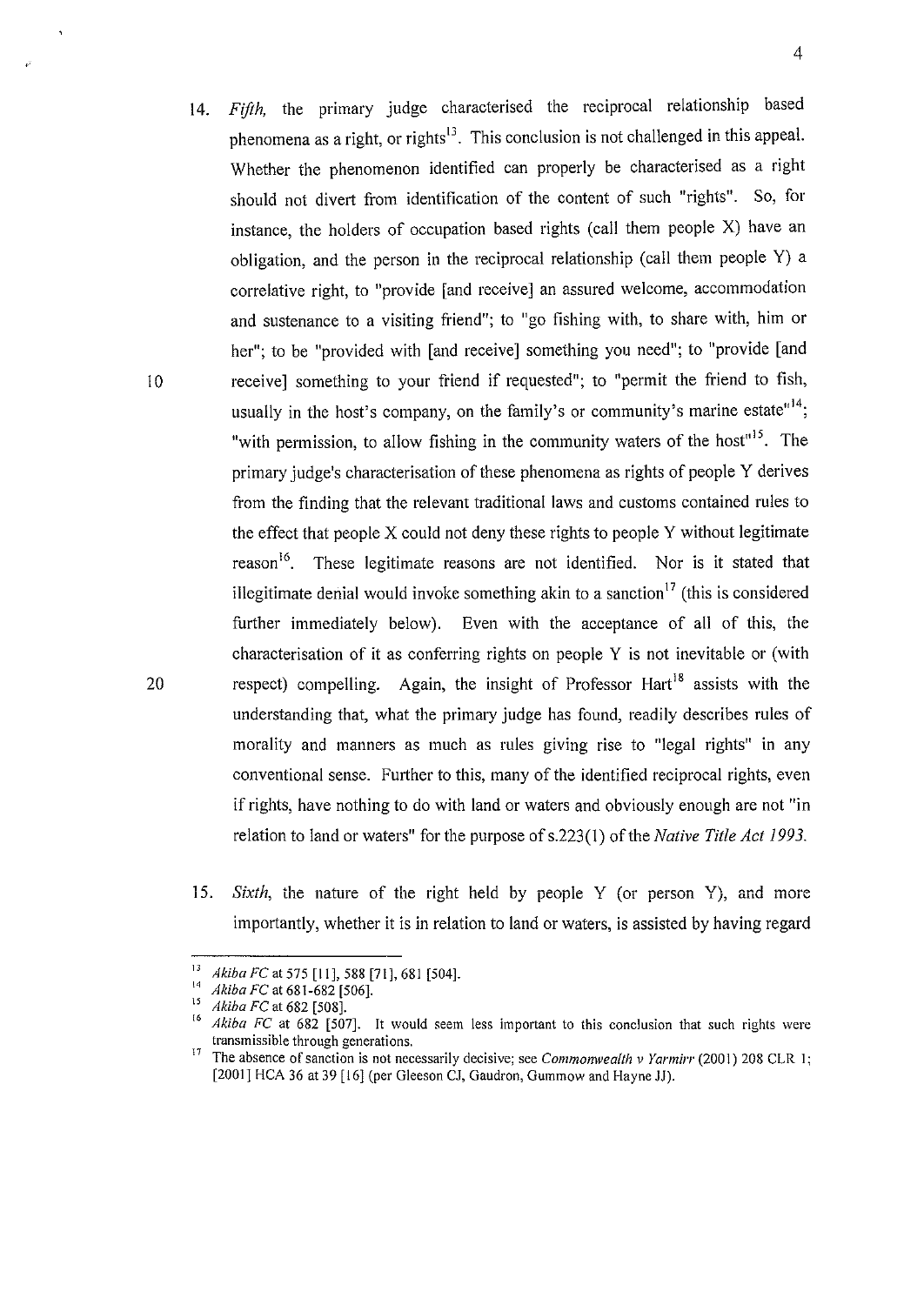- 14. *Fifth,* the primary judge characterised the reciprocal relationship based phenomena as a right, or rights<sup>13</sup>. This conclusion is not challenged in this appeal. Whether the phenomenon identified can properly be characterised as a right should not divert from identification of the content of such "rights". So, for instance, the holders of occupation based rights (call them people X) have an obligation, and the person in the reciprocal relationship (call them people Y) a correlative right, to "provide [and receive] an assured welcome, accommodation and sustenance to a visiting friend"; to "go fishing with, to share with, him or her"; to be "provided with [and receive] something you need"; to "provide [and 10 receive] something to your friend if requested"; to "permit the friend to fish, usually in the host's company, on the family's or community's marine estate"<sup>14</sup>; "with permission, to allow fishing in the community waters of the host"<sup>15</sup>. The primary judge's characterisation of these phenomena as rights of people Y derives from the finding that the relevant traditional laws and customs contained rules to the effect that people  $X$  could not deny these rights to people  $Y$  without legitimate reason<sup>16</sup>. These legitimate reasons are not identified. Nor is it stated that illegitimate denial would invoke something akin to a sanction<sup>17</sup> (this is considered further immediately below). Even with the acceptance of all of this, the characterisation of it as conferring rights on people Y is not inevitable or (with 20 respect) compelling. Again, the insight of Professor Hart<sup>18</sup> assists with the understanding that, what the primary judge has found, readily describes rules of morality and manners as much as rules giving rise to "legal rights" in any conventional sense. Further to this, many of the identified reciprocal rights, even if rights, have nothing to do with land or waters and obviously enough are not "in relation to land or waters" for the purpose of s.223(1) of the *Native Title Act 1993.* 
	- 15. *Sixth,* the nature of the right held by people Y (or person Y), and more importantly, whether it is in relation to land or waters, is assisted by having regard

<sup>&</sup>lt;sup>13</sup> *Akiba FC* at 575 [11], 588 [71], 681 [504].<br><sup>14</sup> *Akiba FC* at 681-682 [506].<br><sup>15</sup> *Akiba FC* at 682 [507]. It would seem less important to this conclusion that such rights were **transmissible through generations.** 

<sup>17</sup>**The absence of sanction is not necessarily decisive; see** *Commonwealth v Yarmirr* **(2001) 208 CLR 1;**  [2001] HCA 36 at 39 [16] (per Gleeson CJ, Gaudron, Gummow and Hayne JJ).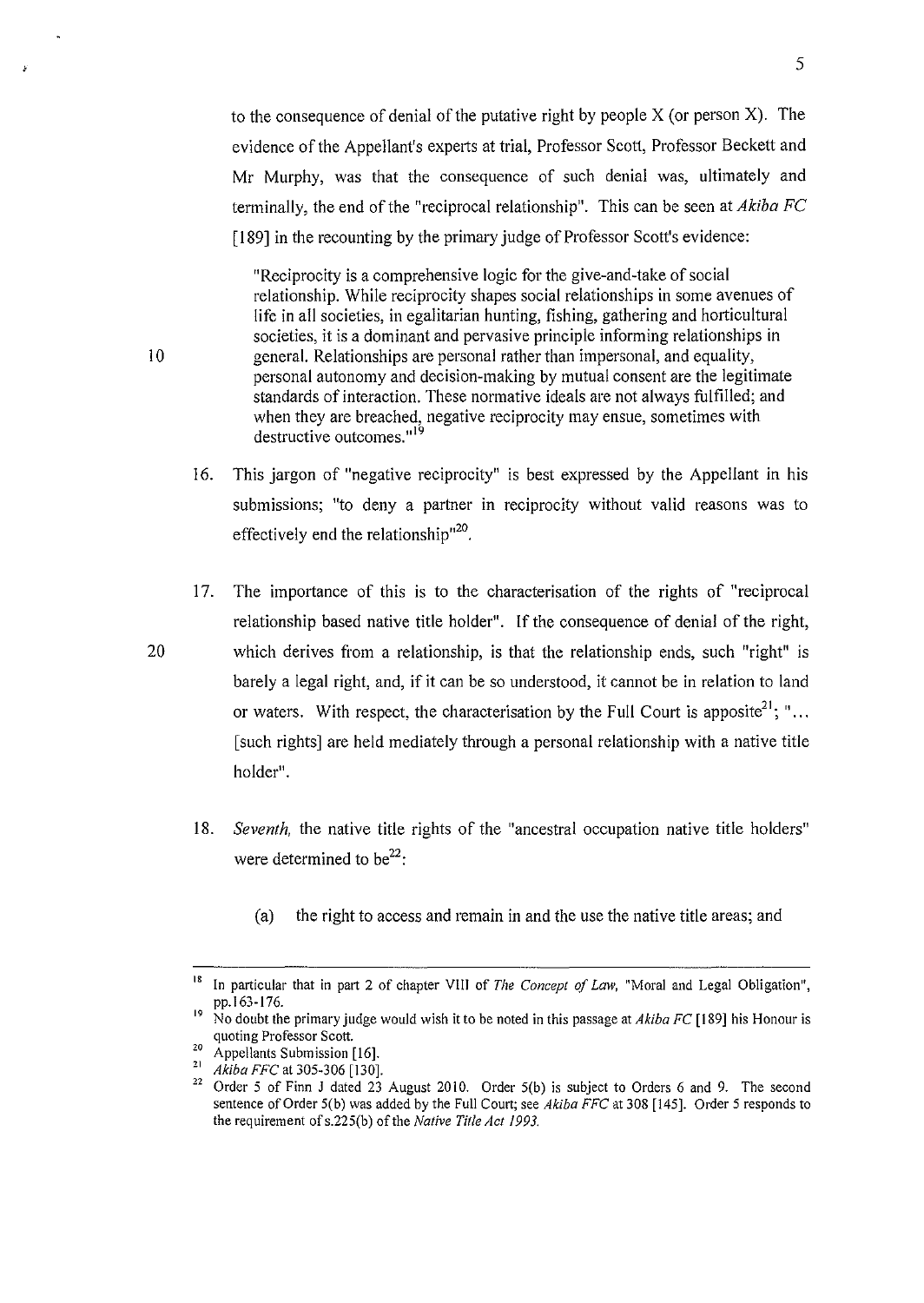to the consequence of denial of the putative right by people X (or person X). The evidence of the Appellant's experts at trial, Professor Scott, Professor Beckett and Mr Murphy, was that the consequence of such denial was, ultimately and terminally, the end of the "reciprocal relationship". This can be seen at *Akiba FC*  [189] in the recounting by the primary judge of Professor Scott's evidence:

"Reciprocity is a comprehensive logic for the give-and-take of social relationship. While reciprocity shapes social relationships in some avenues of life in all societies, in egalitarian hunting, fishing, gathering and horticultural societies, it is a dominant and pervasive principle informing relationships in I 0 general. Relationships are personal rather than impersonal, and equality, personal autonomy and decision-making by mutual consent are the legitimate standards of interaction. These normative ideals are not always fulfilled; and when they are breached, negative reciprocity may ensue, sometimes with destructive outcomes."<sup>19</sup>

- 16. This jargon of "negative reciprocity" is best expressed by the Appellant in his submissions; "to deny a partner in reciprocity without valid reasons was to effectively end the relationship<sup> $120$ </sup>.
- 17. The importance of this is to the characterisation of the rights of "reciprocal relationship based native title holder". If the consequence of denial of the right, 20 which derives from a relationship, is that the relationship ends, such "right" is barely a legal right, and, if it can be so understood, it cannot be in relation to land or waters. With respect, the characterisation by the Full Court is apposite<sup>21</sup>; "... [such rights] are held mediately through a personal relationship with a native title holder".
	- 18. *Seventh,* the native title rights of the "ancestral occupation native title holders" were determined to be<sup>22</sup>:
		- (a) the right to access and remain in and the use the native title areas; and

<sup>&</sup>lt;sup>18</sup> In particular that in part 2 of chapter VIII of *The Concept of Law*, "Moral and Legal Obligation", pp. 163-176.

<sup>&</sup>lt;sup>19</sup> No doubt the primary judge would wish it to be noted in this passage at *Akiba FC* [189] his Honour is

quoting Professor Scott.<br><sup>20</sup> Appellants Submission [16].<br><sup>21</sup> *Akiba FFC* at 305-306 [130].<br><sup>22</sup> Order 5 of Finn J dated 23 August 2010. Order 5(b) is subject to Orders 6 and 9. The second sentence of Order 5(b) was added by the Full Court; see *Akiba FFC* at 308 [145]. Order 5 responds to the requirement ofs.225(b) of the *Native Title Act 1993.*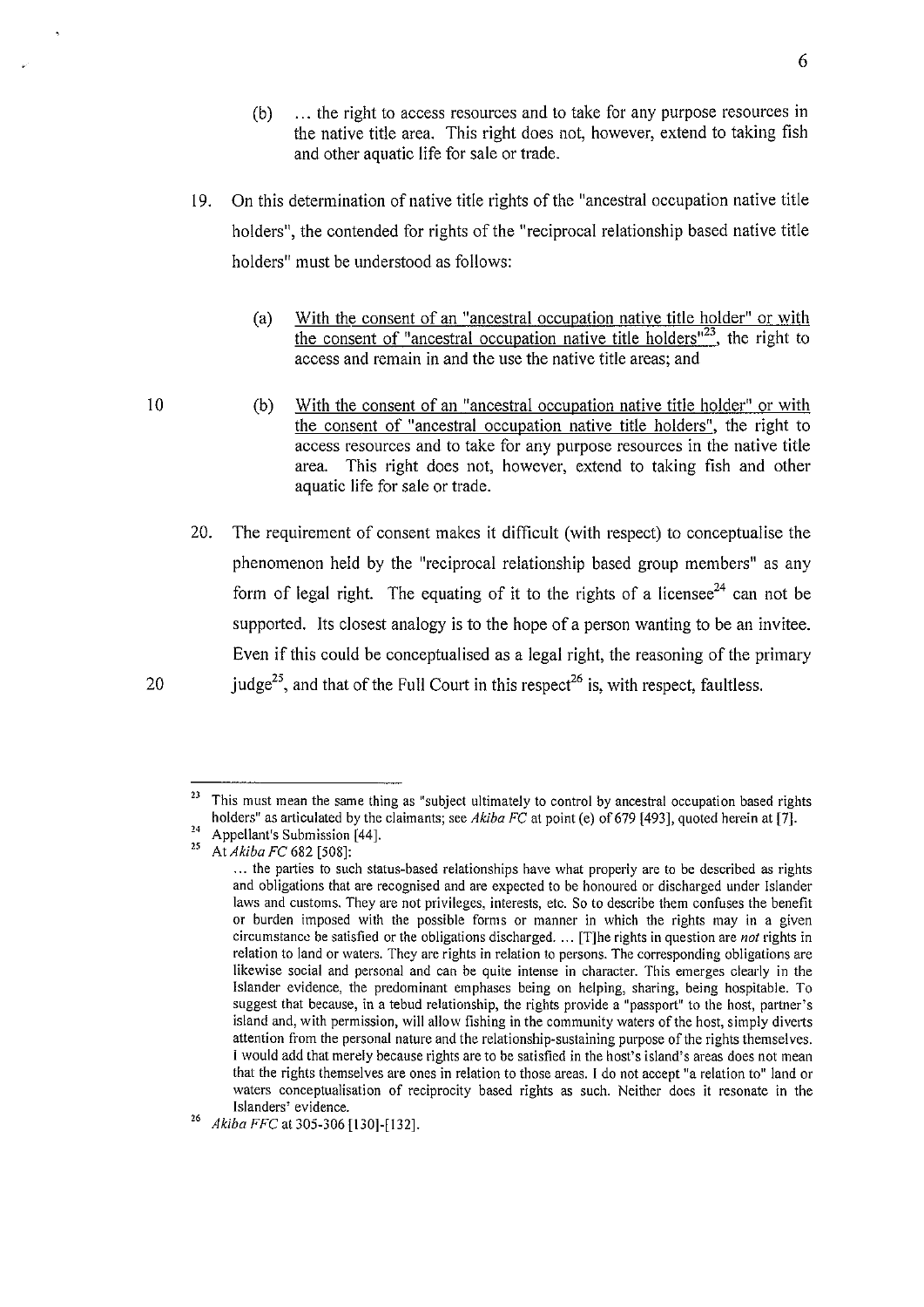- (b) ... the right to access resources and to take for any purpose resources in the native title area. This right does not, however, extend to taking fish and other aquatic life for sale or trade.
- 19. On this determination of native title rights of the "ancestral occupation native title holders", the contended for rights of the "reciprocal relationship based native title holders" must be understood as follows:
	- (a) With the consent of an "ancestral occupation native title holder" or with the consent of "ancestral occupation native title holders"<sup>23</sup>, the right to access and remain in and the use the native title areas; and
	- (b) With the consent of an "ancestral occupation native title holder" or with the consent of "ancestral occupation native title holders", the right to access resources and to take for any purpose resources in the native title area. This right does not, however, extend to taking fish and other aquatic life for sale or trade.
- 20. The requirement of consent makes it difficult (with respect) to conceptualise the phenomenon held by the "reciprocal relationship based group members" as any form of legal right. The equating of it to the rights of a licensee<sup>24</sup> can not be supported. Its closest analogy is to the hope of a person wanting to be an invitee. Even if this could be conceptualised as a legal right, the reasoning of the primary 20 judge<sup>25</sup>, and that of the Full Court in this respect<sup>26</sup> is, with respect, faultless.

<sup>&</sup>lt;sup>23</sup> This must mean the same thing as "subject ultimately to control by ancestral occupation based rights holders" as articulated by the claimants; see *Akiba FC* at point (e) of 679 [493], quoted herein at [7].<br><sup>24</sup> Appellant's Submission [44].<br><sup>25</sup> At *Akiba FC* 682 [508]:

<sup>...</sup> **the parties to such status-based relationships have what properly are to be described as rights and obligations that are recognised and are expected to be honoured or discharged under Islander laws and customs. They are not privileges, interests, etc. So to describe them confuses the benefit or burden imposed with the possible forms or manner in which the rights may in a given circumstance be satisfied or the obligations discharged.** ... [T]he rights in question are *not* rights in **relation to land or waters. They are rights in relation to persons. The corresponding obligations are likewise social and personal and can be quite intense in character. This emerges clearly in the**  Islander evidence, the predominant emphases being on helping, sharing, being hospitable. To **suggest that because, in a tebud relationship, the rights pro:vide a "passport" to the host, partner's island and, with permission, will allow fishing in the community waters of the host, simply divetts attention from the personal nature and the relationship-sustaining purpose of the rights themselves.**  I would add that merely because rights are to be satisfied in the host's island's areas does not mean **that the rights themselves are ones in relation to those areas. I do not accept "a relation to" land or waters conceptualisation of reciprocity based rights as such. Neither does it resonate in the** 

**Islanders' evidence.** <sup>26</sup>*Akiba FFC* at 305-306 [130]-[132].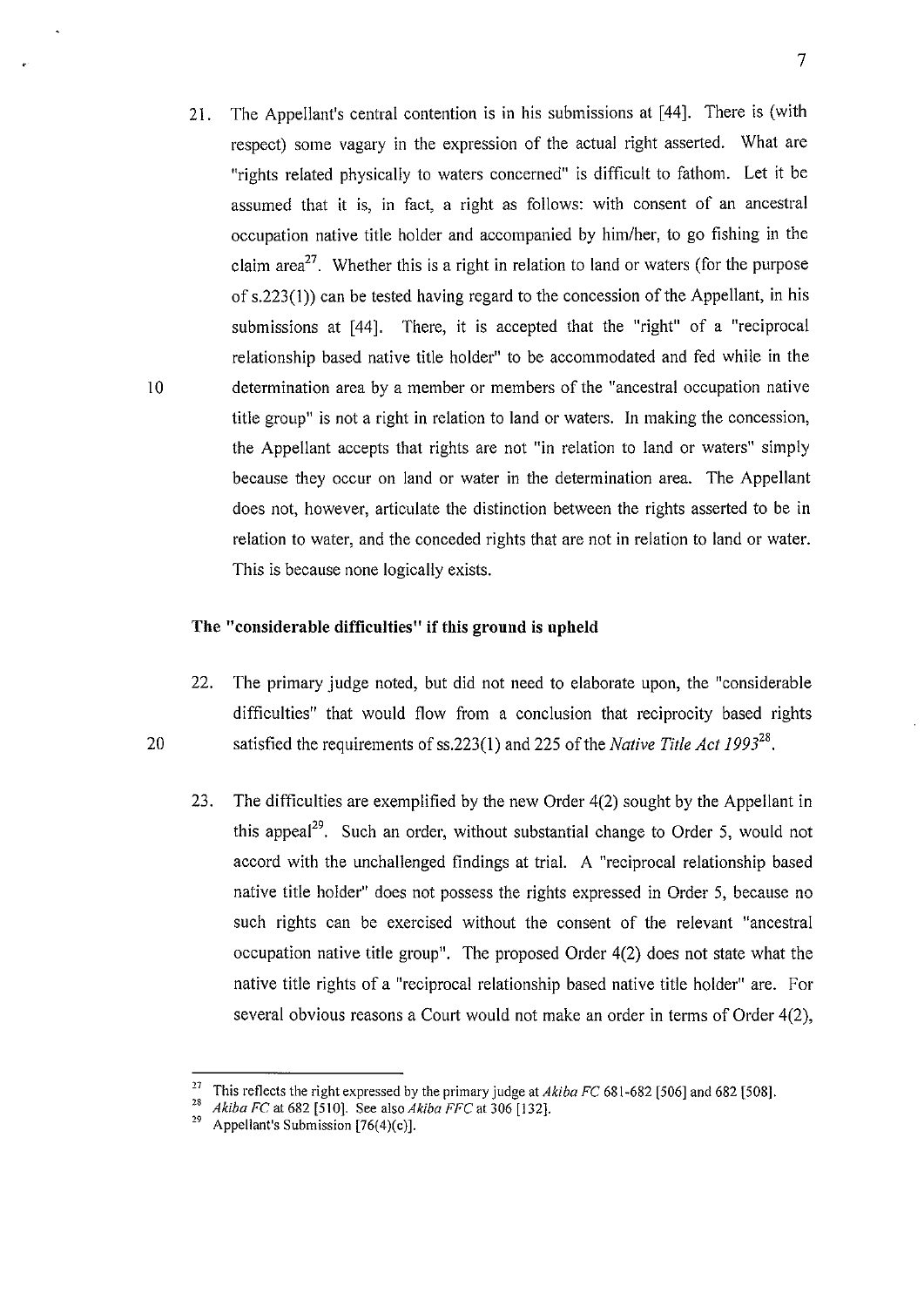21. The Appellant's central contention is in his submissions at [44]. There is (with respect) some vagary in the expression of the actual right asserted. What are "rights related physically to waters concerned" is difficult to fathom. Let it be assumed that it is, in fact, a right as follows: with consent of an ancestral occupation native title holder and accompanied by him/her, to go fishing in the claim area<sup>27</sup>. Whether this is a right in relation to land or waters (for the purpose of s.223(1)) can be tested having regard to the concession of the Appellant, in his submissions at [44]. There, it is accepted that the "right" of a "reciprocal relationship based native title holder" to be accommodated and fed while in the 10 determination area by a member or members of the "ancestral occupation native title group" is not a right in relation to land or waters. In making the concession, the Appellant accepts that rights are not "in relation to land or waters" simply because they occur on land or water in the determination area. The Appellant does not, however, articulate the distinction between the rights asserted to be in relation to water, and the conceded rights that are not in relation to land or water. This is because none logically exists.

#### **The "considerable difficulties" if this gronnd is upheld**

- 22. The primary judge noted, but did not need to elaborate upon, the "considerable difficulties" that would flow from a conclusion that reciprocity based rights 20 satisfied the requirements of ss.223(1) and 225 of the *Native Title Act 1993<sup>28</sup> .* 
	- 23. The difficulties are exemplified by the new Order 4(2) sought by the Appellant in this appeal<sup>29</sup>. Such an order, without substantial change to Order 5, would not accord with the unchallenged findings at trial. A "reciprocal relationship based native title holder" does not possess the rights expressed in Order 5, because no such rights can be exercised without the consent of the relevant "ancestral occupation native title group". The proposed Order 4(2) does not state what the native title rights of a "reciprocal relationship based native title holder" are. For several obvious reasons a Court would not make an order in terms of Order 4(2),

<sup>&</sup>lt;sup>27</sup> This reflects the right expressed by the primary judge at *Akiba FC* 681-682 [506] and 682 [508].<br><sup>28</sup> *Akiba FC* at 682 [510]. See also *Akiba FFC* at 306 [132].<br><sup>29</sup> Appellant's Submission [76(4)(c)].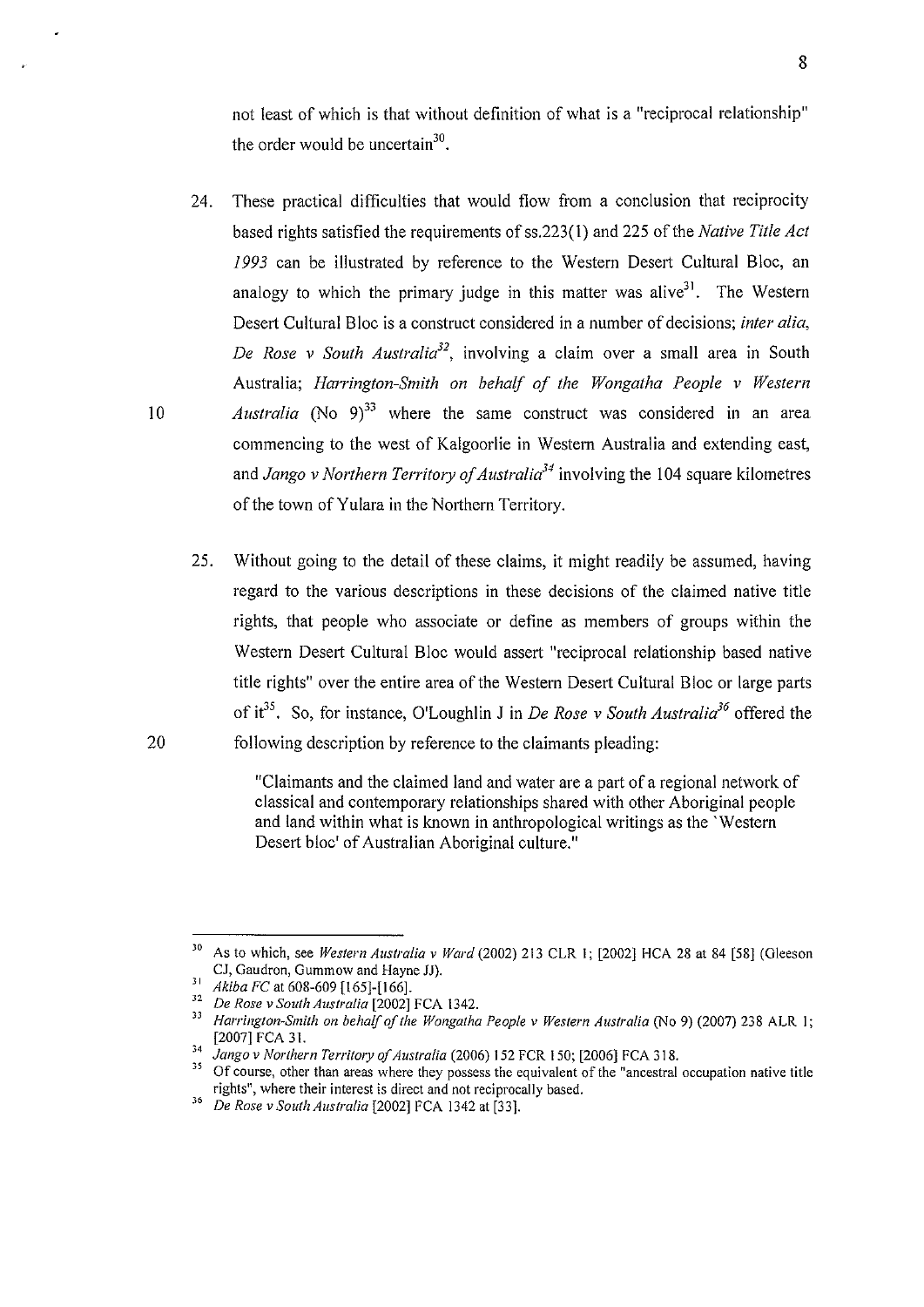not least of which is that without definition of what is a "reciprocal relationship" the order would be uncertain<sup>30</sup>.

- 24. These practical difficulties that would flow from a conclusion that reciprocity based rights satisfied the requirements of ss.223(1) and 225 of the *Native Title Act 1993* can be illustrated by reference to the Western Desert Cultural Bloc, an analogy to which the primary judge in this matter was alive<sup>31</sup>. The Western Desert Cultural Bloc is a construct considered in a number of decisions; *inter alia, De Rose v South Australia32,* involving a claim over a small area in South Australia; *Harrington-Smith on behalf of the Wongatha People v Western*  10 *Australia* (No  $9^{33}$  where the same construct was considered in an area
	- commencing to the west of Kalgoorlie in Westem Australia and extending east, and *Jango v Northern Territory of Australia34* involving the I 04 square kilometres of the town of Yulara in the Northern Territory.
- 25. Without going to the detail of these claims, it might readily be assumed, having regard to the various descriptions in these decisions of the claimed native title rights, that people who associate or define as members of groups within the Western Desert Cultural Bloc would assert "reciprocal relationship based native title rights" over the entire area of the Western Desert Cultural Bloc or large parts of it<sup>35</sup>. So, for instance, O'Loughlin J in *De Rose v South Australia*<sup>36</sup> offered the 20 following description by reference to the claimants pleading:

"Claimants and the claimed land and water are a part of a regional network of classical and contemporary relationships shared with other Aboriginal people and land within what is known in anthropological writings as the 'Western Desert bloc' of Australian Aboriginal culture."

<sup>&</sup>lt;sup>30</sup> As to which, see *Western Australia v Ward* (2002) 213 CLR 1; [2002] HCA 28 at 84 [58] (Gleeson CJ, Gaudron, Gummow and Hayne JJ).

<sup>&</sup>lt;sup>31</sup> Akiba FC at 608-609 [165]-[166].<br><sup>32</sup> De Rose v South Australia [2002] FCA 1342.<br><sup>32</sup> Harrington-Smith on behalf of the Wongatha People v Western Australia (No 9) (2007) 238 ALR 1;<br><sup>33</sup> Harrington-Smith on behalf of

<sup>&</sup>lt;sup>34</sup> Jango v Northern Territory of Australia (2006) 152 FCR 150; [2006] FCA 318.<br><sup>35</sup> Of course, other than areas where they possess the equivalent of the "ancestral occupation native title rights", where their interest i

**rights", where their interest is direct and not reciprocally based.** <sup>36</sup>*De Rose v South Australia* (2002] FCA 1342 at (33].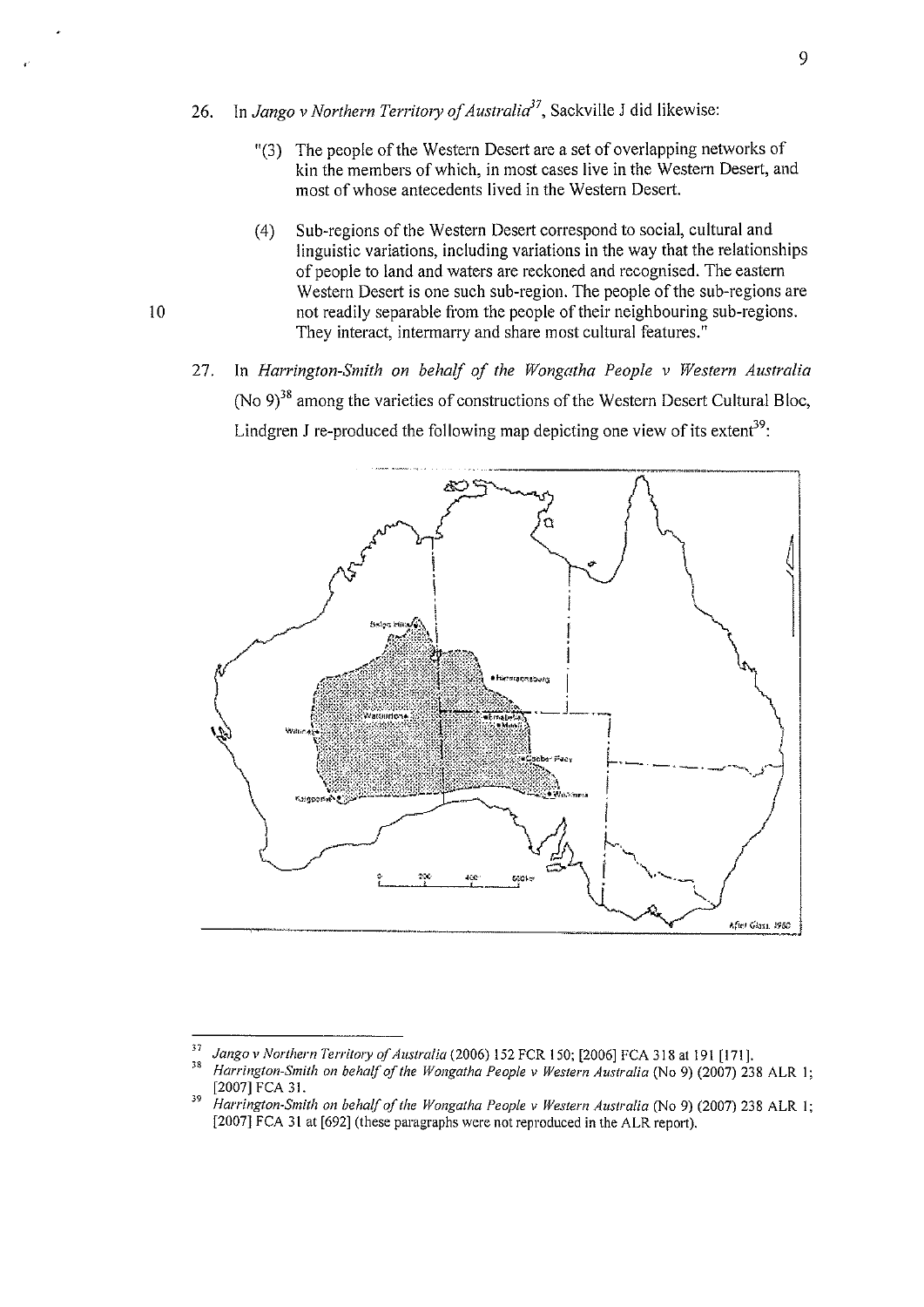- 26. In *Jango v Northern Territory of Australia<sup>37</sup>*, Sackville J did likewise:
	- "(3) The people of the Western Desert are a set of overlapping networks of kin the members of which, in most cases live in the Western Desert, and most of whose antecedents lived in the Western Desert.
	- ( 4) Sub-regions of the Western Desert correspond to social, cultural and linguistic variations, including variations in the way that the relationships of people to land and waters are reckoned and recognised. The eastern Western Desert is one such sub-region. The people of the sub-regions are not readily separable from the people of their neighbouring sub-regions. They interact, intermarry and share most cultural features."
- 27. In *Harrington-Smith on behalf of the Wongatha People v Western Australia*  (No  $9)^{38}$  among the varieties of constructions of the Western Desert Cultural Bloc, Lindgren J re-produced the following map depicting one view of its extent<sup>39</sup>:



<sup>&</sup>lt;sup>37</sup> Jango v Northern Territory of Australia (2006) 152 FCR 150; [2006] FCA 318 at 191 [171].<br><sup>38</sup> *Harrington-Smith on behalf of the Wongatha People v Western Australia* (No 9) (2007) 238 ALR 1;<br>[2007] FCA 31.

<sup>[2007]</sup> FCA 31. 39 *Harrington-Smith on behalf of the Wongatha People v Western Australia* (No 9) (2007) 238 ALR I; [2007] FCA 31 at [692] (these paragraphs were not reproduced in the ALR report).